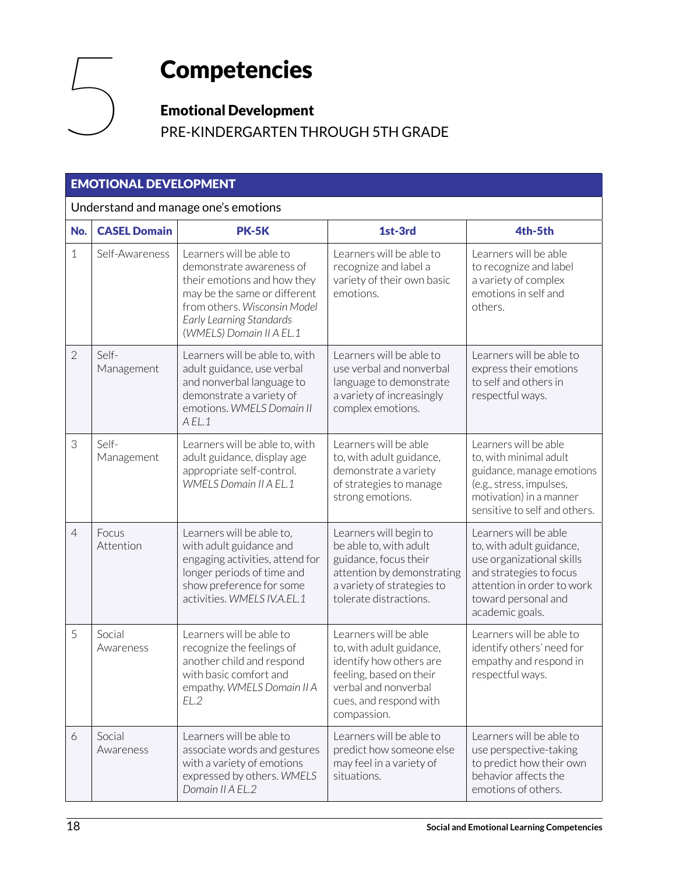# **Competencies**

#### Emotional Development

PRE-KINDERGARTEN THROUGH 5TH GRADE

#### EMOTIONAL DEVELOPMENT

#### Understand and manage one's emotions

| No.            | <b>CASEL Domain</b> | <b>PK-5K</b>                                                                                                                                                                                                | 1st-3rd                                                                                                                                                                  | 4th-5th                                                                                                                                                                           |  |  |
|----------------|---------------------|-------------------------------------------------------------------------------------------------------------------------------------------------------------------------------------------------------------|--------------------------------------------------------------------------------------------------------------------------------------------------------------------------|-----------------------------------------------------------------------------------------------------------------------------------------------------------------------------------|--|--|
| $\mathbf{1}$   | Self-Awareness      | Learners will be able to<br>demonstrate awareness of<br>their emotions and how they<br>may be the same or different<br>from others. Wisconsin Model<br>Early Learning Standards<br>(WMELS) Domain II A EL.1 | Learners will be able to<br>recognize and label a<br>variety of their own basic<br>emotions.                                                                             | Learners will be able<br>to recognize and label<br>a variety of complex<br>emotions in self and<br>others.                                                                        |  |  |
| $\overline{2}$ | Self-<br>Management | Learners will be able to, with<br>adult guidance, use verbal<br>and nonverbal language to<br>demonstrate a variety of<br>emotions. WMELS Domain II<br>A EL.1                                                | Learners will be able to<br>use verbal and nonverbal<br>language to demonstrate<br>a variety of increasingly<br>complex emotions.                                        | Learners will be able to<br>express their emotions<br>to self and others in<br>respectful ways.                                                                                   |  |  |
| 3              | Self-<br>Management | Learners will be able to, with<br>adult guidance, display age<br>appropriate self-control.<br><b>WMELS Domain II A EL.1</b>                                                                                 | Learners will be able<br>to, with adult guidance,<br>demonstrate a variety<br>of strategies to manage<br>strong emotions.                                                | Learners will be able<br>to, with minimal adult<br>guidance, manage emotions<br>(e.g., stress, impulses,<br>motivation) in a manner<br>sensitive to self and others.              |  |  |
| $\overline{4}$ | Focus<br>Attention  | Learners will be able to,<br>with adult guidance and<br>engaging activities, attend for<br>longer periods of time and<br>show preference for some<br>activities. WMELS IV.A.EL.1                            | Learners will begin to<br>be able to, with adult<br>guidance, focus their<br>attention by demonstrating<br>a variety of strategies to<br>tolerate distractions.          | Learners will be able<br>to, with adult guidance,<br>use organizational skills<br>and strategies to focus<br>attention in order to work<br>toward personal and<br>academic goals. |  |  |
| 5              | Social<br>Awareness | Learners will be able to<br>recognize the feelings of<br>another child and respond<br>with basic comfort and<br>empathy. WMELS Domain II A<br>EL.2                                                          | Learners will be able<br>to, with adult guidance,<br>identify how others are<br>feeling, based on their<br>verbal and nonverbal<br>cues, and respond with<br>compassion. | Learners will be able to<br>identify others' need for<br>empathy and respond in<br>respectful ways.                                                                               |  |  |
| 6              | Social<br>Awareness | Learners will be able to<br>associate words and gestures<br>with a variety of emotions<br>expressed by others. WMELS<br>Domain II A EL.2                                                                    | Learners will be able to<br>predict how someone else<br>may feel in a variety of<br>situations.                                                                          | Learners will be able to<br>use perspective-taking<br>to predict how their own<br>behavior affects the<br>emotions of others.                                                     |  |  |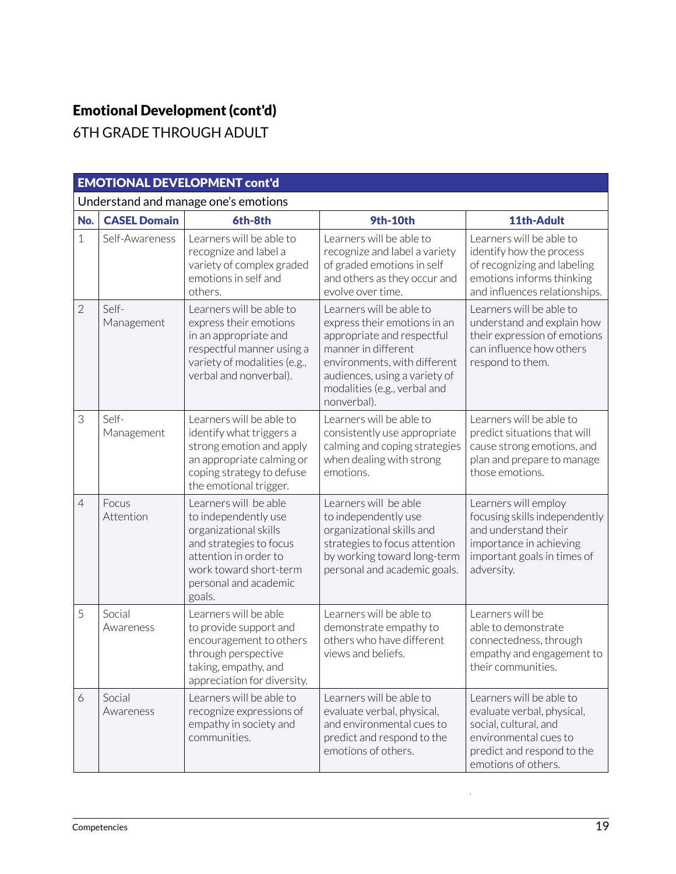### Emotional Development (cont'd)

6TH GRADE THROUGH ADULT

| <b>EMOTIONAL DEVELOPMENT cont'd</b>  |                     |                                                                                                                                                                                         |                                                                                                                                                                                                                               |                                                                                                                                                               |  |
|--------------------------------------|---------------------|-----------------------------------------------------------------------------------------------------------------------------------------------------------------------------------------|-------------------------------------------------------------------------------------------------------------------------------------------------------------------------------------------------------------------------------|---------------------------------------------------------------------------------------------------------------------------------------------------------------|--|
| Understand and manage one's emotions |                     |                                                                                                                                                                                         |                                                                                                                                                                                                                               |                                                                                                                                                               |  |
| No.                                  | <b>CASEL Domain</b> | 6th-8th                                                                                                                                                                                 | <b>9th-10th</b>                                                                                                                                                                                                               | 11th-Adult                                                                                                                                                    |  |
| $\mathbf{1}$                         | Self-Awareness      | Learners will be able to<br>recognize and label a<br>variety of complex graded<br>emotions in self and<br>others.                                                                       | Learners will be able to<br>recognize and label a variety<br>of graded emotions in self<br>and others as they occur and<br>evolve over time.                                                                                  | Learners will be able to<br>identify how the process<br>of recognizing and labeling<br>emotions informs thinking<br>and influences relationships.             |  |
| $\overline{2}$                       | Self-<br>Management | Learners will be able to<br>express their emotions<br>in an appropriate and<br>respectful manner using a<br>variety of modalities (e.g.,<br>verbal and nonverbal).                      | Learners will be able to<br>express their emotions in an<br>appropriate and respectful<br>manner in different<br>environments, with different<br>audiences, using a variety of<br>modalities (e.g., verbal and<br>nonverbal). | Learners will be able to<br>understand and explain how<br>their expression of emotions<br>can influence how others<br>respond to them.                        |  |
| 3                                    | Self-<br>Management | Learners will be able to<br>identify what triggers a<br>strong emotion and apply<br>an appropriate calming or<br>coping strategy to defuse<br>the emotional trigger.                    | Learners will be able to<br>consistently use appropriate<br>calming and coping strategies<br>when dealing with strong<br>emotions.                                                                                            | Learners will be able to<br>predict situations that will<br>cause strong emotions, and<br>plan and prepare to manage<br>those emotions.                       |  |
| $\overline{4}$                       | Focus<br>Attention  | Learners will be able<br>to independently use<br>organizational skills<br>and strategies to focus<br>attention in order to<br>work toward short-term<br>personal and academic<br>goals. | Learners will be able<br>to independently use<br>organizational skills and<br>strategies to focus attention<br>by working toward long-term<br>personal and academic goals.                                                    | Learners will employ<br>focusing skills independently<br>and understand their<br>importance in achieving<br>important goals in times of<br>adversity.         |  |
| 5                                    | Social<br>Awareness | Learners will be able<br>to provide support and<br>encouragement to others<br>through perspective<br>taking, empathy, and<br>appreciation for diversity.                                | Learners will be able to<br>demonstrate empathy to<br>others who have different<br>views and beliefs.                                                                                                                         | Learners will be<br>able to demonstrate<br>connectedness, through<br>empathy and engagement to<br>their communities.                                          |  |
| 6                                    | Social<br>Awareness | Learners will be able to<br>recognize expressions of<br>empathy in society and<br>communities.                                                                                          | Learners will be able to<br>evaluate verbal, physical,<br>and environmental cues to<br>predict and respond to the<br>emotions of others.                                                                                      | Learners will be able to<br>evaluate verbal, physical,<br>social, cultural, and<br>environmental cues to<br>predict and respond to the<br>emotions of others. |  |

J.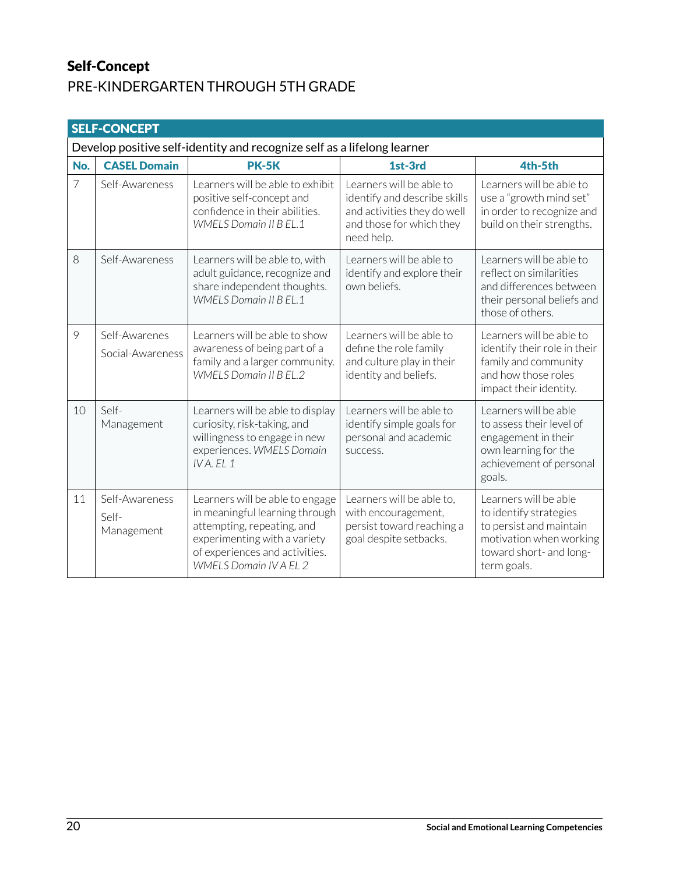#### Self-Concept PRE-KINDERGARTEN THROUGH 5TH GRADE

| <b>SELF-CONCEPT</b> |                                                                         |                                                                                                                                                                                                    |                                                                                                                                   |                                                                                                                                                 |  |  |
|---------------------|-------------------------------------------------------------------------|----------------------------------------------------------------------------------------------------------------------------------------------------------------------------------------------------|-----------------------------------------------------------------------------------------------------------------------------------|-------------------------------------------------------------------------------------------------------------------------------------------------|--|--|
|                     | Develop positive self-identity and recognize self as a lifelong learner |                                                                                                                                                                                                    |                                                                                                                                   |                                                                                                                                                 |  |  |
| No.                 | <b>CASEL Domain</b>                                                     | <b>PK-5K</b>                                                                                                                                                                                       | 1st-3rd                                                                                                                           | 4th-5th                                                                                                                                         |  |  |
| $\overline{7}$      | Self-Awareness                                                          | Learners will be able to exhibit<br>positive self-concept and<br>confidence in their abilities.<br><b>WMELS Domain II B EL.1</b>                                                                   | Learners will be able to<br>identify and describe skills<br>and activities they do well<br>and those for which they<br>need help. | Learners will be able to<br>use a "growth mind set"<br>in order to recognize and<br>build on their strengths.                                   |  |  |
| 8                   | Self-Awareness                                                          | Learners will be able to, with<br>adult guidance, recognize and<br>share independent thoughts.<br><b>WMELS Domain II B EL.1</b>                                                                    | Learners will be able to<br>identify and explore their<br>own beliefs.                                                            | Learners will be able to<br>reflect on similarities<br>and differences between<br>their personal beliefs and<br>those of others.                |  |  |
| 9                   | Self-Awarenes<br>Social-Awareness                                       | Learners will be able to show<br>awareness of being part of a<br>family and a larger community.<br><b>WMELS Domain II B EL.2</b>                                                                   | Learners will be able to<br>define the role family<br>and culture play in their<br>identity and beliefs.                          | Learners will be able to<br>identify their role in their<br>family and community<br>and how those roles<br>impact their identity.               |  |  |
| 10                  | Self-<br>Management                                                     | Learners will be able to display<br>curiosity, risk-taking, and<br>willingness to engage in new<br>experiences. WMELS Domain<br>$IVA$ . EL 1                                                       | Learners will be able to<br>identify simple goals for<br>personal and academic<br>success.                                        | Learners will be able<br>to assess their level of<br>engagement in their<br>own learning for the<br>achievement of personal<br>goals.           |  |  |
| 11                  | Self-Awareness<br>Self-<br>Management                                   | Learners will be able to engage<br>in meaningful learning through<br>attempting, repeating, and<br>experimenting with a variety<br>of experiences and activities.<br><b>WMELS Domain IV A EL 2</b> | Learners will be able to,<br>with encouragement,<br>persist toward reaching a<br>goal despite setbacks.                           | Learners will be able<br>to identify strategies<br>to persist and maintain<br>motivation when working<br>toward short- and long-<br>term goals. |  |  |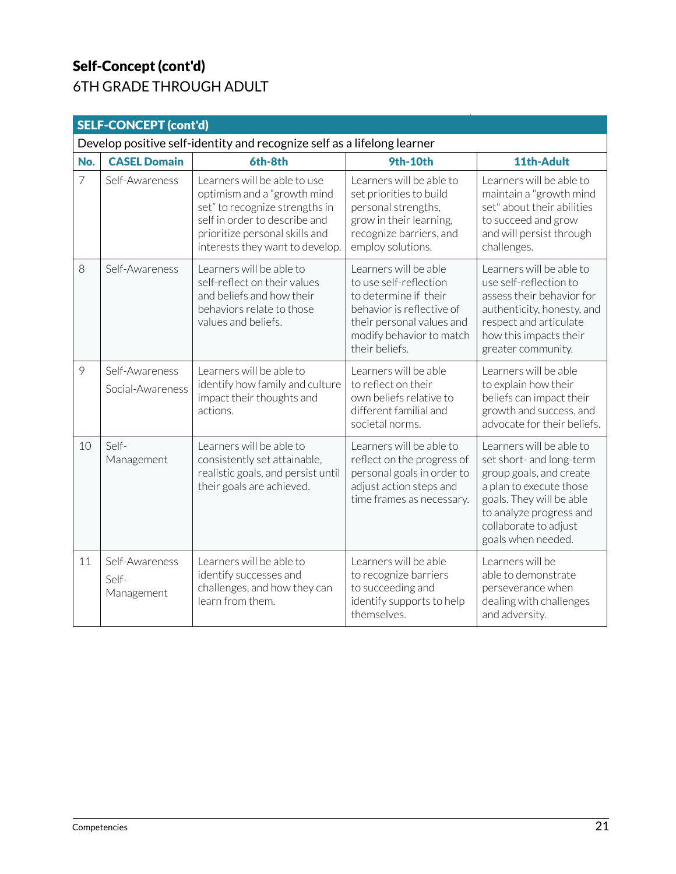#### Self-Concept (cont'd) 6TH GRADE THROUGH ADULT

| <b>SELF-CONCEPT (cont'd)</b> |                                                                         |                                                                                                                                                                                                     |                                                                                                                                                                                  |                                                                                                                                                                                                                  |  |  |
|------------------------------|-------------------------------------------------------------------------|-----------------------------------------------------------------------------------------------------------------------------------------------------------------------------------------------------|----------------------------------------------------------------------------------------------------------------------------------------------------------------------------------|------------------------------------------------------------------------------------------------------------------------------------------------------------------------------------------------------------------|--|--|
|                              | Develop positive self-identity and recognize self as a lifelong learner |                                                                                                                                                                                                     |                                                                                                                                                                                  |                                                                                                                                                                                                                  |  |  |
| No.                          | <b>CASEL Domain</b>                                                     | 6th-8th                                                                                                                                                                                             | <b>9th-10th</b>                                                                                                                                                                  | 11th-Adult                                                                                                                                                                                                       |  |  |
| $\overline{7}$               | Self-Awareness                                                          | Learners will be able to use<br>optimism and a "growth mind<br>set" to recognize strengths in<br>self in order to describe and<br>prioritize personal skills and<br>interests they want to develop. | Learners will be able to<br>set priorities to build<br>personal strengths,<br>grow in their learning,<br>recognize barriers, and<br>employ solutions.                            | Learners will be able to<br>maintain a "growth mind<br>set" about their abilities<br>to succeed and grow<br>and will persist through<br>challenges.                                                              |  |  |
| 8                            | Self-Awareness                                                          | Learners will be able to<br>self-reflect on their values<br>and beliefs and how their<br>behaviors relate to those<br>values and beliefs.                                                           | Learners will be able<br>to use self-reflection<br>to determine if their<br>behavior is reflective of<br>their personal values and<br>modify behavior to match<br>their beliefs. | Learners will be able to<br>use self-reflection to<br>assess their behavior for<br>authenticity, honesty, and<br>respect and articulate<br>how this impacts their<br>greater community.                          |  |  |
| 9                            | Self-Awareness<br>Social-Awareness                                      | Learners will be able to<br>identify how family and culture<br>impact their thoughts and<br>actions.                                                                                                | Learners will be able<br>to reflect on their<br>own beliefs relative to<br>different familial and<br>societal norms.                                                             | Learners will be able<br>to explain how their<br>beliefs can impact their<br>growth and success, and<br>advocate for their beliefs.                                                                              |  |  |
| 10                           | Self-<br>Management                                                     | Learners will be able to<br>consistently set attainable,<br>realistic goals, and persist until<br>their goals are achieved.                                                                         | Learners will be able to<br>reflect on the progress of<br>personal goals in order to<br>adjust action steps and<br>time frames as necessary.                                     | Learners will be able to<br>set short- and long-term<br>group goals, and create<br>a plan to execute those<br>goals. They will be able<br>to analyze progress and<br>collaborate to adjust<br>goals when needed. |  |  |
| 11                           | Self-Awareness<br>Self-<br>Management                                   | Learners will be able to<br>identify successes and<br>challenges, and how they can<br>learn from them.                                                                                              | Learners will be able<br>to recognize barriers<br>to succeeding and<br>identify supports to help<br>themselves.                                                                  | Learners will be<br>able to demonstrate<br>perseverance when<br>dealing with challenges<br>and adversity.                                                                                                        |  |  |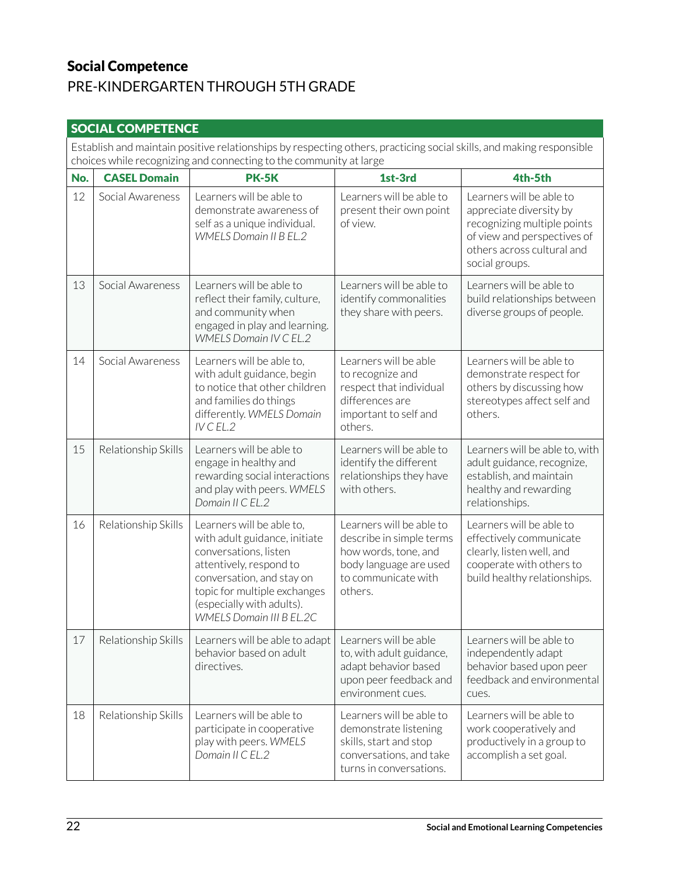### Social Competence

### PRE-KINDERGARTEN THROUGH 5TH GRADE

| <b>SOCIAL COMPETENCE</b>                                                                                                                                                                   |                     |                                                                                                                                                                                                                                      |                                                                                                                                          |                                                                                                                                                                   |  |
|--------------------------------------------------------------------------------------------------------------------------------------------------------------------------------------------|---------------------|--------------------------------------------------------------------------------------------------------------------------------------------------------------------------------------------------------------------------------------|------------------------------------------------------------------------------------------------------------------------------------------|-------------------------------------------------------------------------------------------------------------------------------------------------------------------|--|
| Establish and maintain positive relationships by respecting others, practicing social skills, and making responsible<br>choices while recognizing and connecting to the community at large |                     |                                                                                                                                                                                                                                      |                                                                                                                                          |                                                                                                                                                                   |  |
| No.                                                                                                                                                                                        | <b>CASEL Domain</b> | <b>PK-5K</b>                                                                                                                                                                                                                         | 1st-3rd                                                                                                                                  | 4th-5th                                                                                                                                                           |  |
| 12                                                                                                                                                                                         | Social Awareness    | Learners will be able to<br>demonstrate awareness of<br>self as a unique individual.<br><b>WMELS Domain II B EL.2</b>                                                                                                                | Learners will be able to<br>present their own point<br>of view.                                                                          | Learners will be able to<br>appreciate diversity by<br>recognizing multiple points<br>of view and perspectives of<br>others across cultural and<br>social groups. |  |
| 13                                                                                                                                                                                         | Social Awareness    | Learners will be able to<br>reflect their family, culture,<br>and community when<br>engaged in play and learning.<br><b>WMELS Domain IV C EL.2</b>                                                                                   | Learners will be able to<br>identify commonalities<br>they share with peers.                                                             | Learners will be able to<br>build relationships between<br>diverse groups of people.                                                                              |  |
| 14                                                                                                                                                                                         | Social Awareness    | Learners will be able to,<br>with adult guidance, begin<br>to notice that other children<br>and families do things<br>differently. WMELS Domain<br>$IV$ CEL.2                                                                        | Learners will be able<br>to recognize and<br>respect that individual<br>differences are<br>important to self and<br>others.              | Learners will be able to<br>demonstrate respect for<br>others by discussing how<br>stereotypes affect self and<br>others.                                         |  |
| 15                                                                                                                                                                                         | Relationship Skills | Learners will be able to<br>engage in healthy and<br>rewarding social interactions<br>and play with peers. WMELS<br>Domain II C EL.2                                                                                                 | Learners will be able to<br>identify the different<br>relationships they have<br>with others.                                            | Learners will be able to, with<br>adult guidance, recognize,<br>establish, and maintain<br>healthy and rewarding<br>relationships.                                |  |
| 16                                                                                                                                                                                         | Relationship Skills | Learners will be able to,<br>with adult guidance, initiate<br>conversations, listen<br>attentively, respond to<br>conversation, and stay on<br>topic for multiple exchanges<br>(especially with adults).<br>WMELS Domain III B EL.2C | Learners will be able to<br>describe in simple terms<br>how words, tone, and<br>body language are used<br>to communicate with<br>others. | Learners will be able to<br>effectively communicate<br>clearly, listen well, and<br>cooperate with others to<br>build healthy relationships.                      |  |
| 17                                                                                                                                                                                         | Relationship Skills | Learners will be able to adapt<br>behavior based on adult<br>directives.                                                                                                                                                             | Learners will be able<br>to, with adult guidance,<br>adapt behavior based<br>upon peer feedback and<br>environment cues.                 | Learners will be able to<br>independently adapt<br>behavior based upon peer<br>feedback and environmental<br>cues.                                                |  |
| 18                                                                                                                                                                                         | Relationship Skills | Learners will be able to<br>participate in cooperative<br>play with peers. WMELS<br>Domain II C EL.2                                                                                                                                 | Learners will be able to<br>demonstrate listening<br>skills, start and stop<br>conversations, and take<br>turns in conversations.        | Learners will be able to<br>work cooperatively and<br>productively in a group to<br>accomplish a set goal.                                                        |  |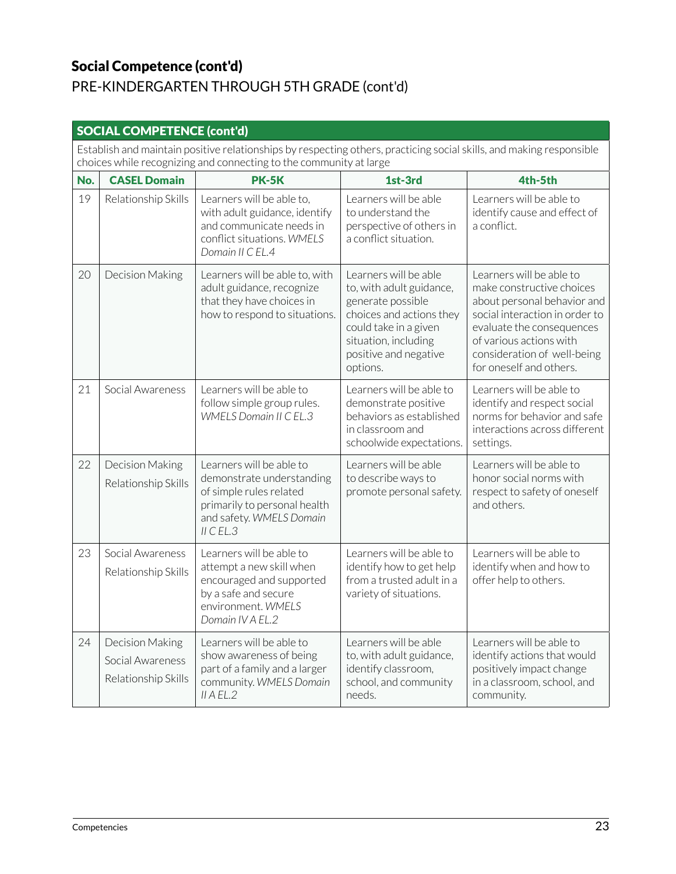### Social Competence (cont'd)

## PRE-KINDERGARTEN THROUGH 5TH GRADE (cont'd)

| <b>SOCIAL COMPETENCE (cont'd)</b>                                                                                                                                                          |                                                            |                                                                                                                                                           |                                                                                                                                                                                          |                                                                                                                                                                                                                                          |  |
|--------------------------------------------------------------------------------------------------------------------------------------------------------------------------------------------|------------------------------------------------------------|-----------------------------------------------------------------------------------------------------------------------------------------------------------|------------------------------------------------------------------------------------------------------------------------------------------------------------------------------------------|------------------------------------------------------------------------------------------------------------------------------------------------------------------------------------------------------------------------------------------|--|
| Establish and maintain positive relationships by respecting others, practicing social skills, and making responsible<br>choices while recognizing and connecting to the community at large |                                                            |                                                                                                                                                           |                                                                                                                                                                                          |                                                                                                                                                                                                                                          |  |
| No.                                                                                                                                                                                        | <b>CASEL Domain</b>                                        | <b>PK-5K</b>                                                                                                                                              | 1st-3rd                                                                                                                                                                                  | 4th-5th                                                                                                                                                                                                                                  |  |
| 19                                                                                                                                                                                         | Relationship Skills                                        | Learners will be able to,<br>with adult guidance, identify<br>and communicate needs in<br>conflict situations. WMELS<br>Domain II C EL.4                  | Learners will be able<br>to understand the<br>perspective of others in<br>a conflict situation.                                                                                          | Learners will be able to<br>identify cause and effect of<br>a conflict.                                                                                                                                                                  |  |
| 20                                                                                                                                                                                         | Decision Making                                            | Learners will be able to, with<br>adult guidance, recognize<br>that they have choices in<br>how to respond to situations.                                 | Learners will be able<br>to, with adult guidance,<br>generate possible<br>choices and actions they<br>could take in a given<br>situation, including<br>positive and negative<br>options. | Learners will be able to<br>make constructive choices<br>about personal behavior and<br>social interaction in order to<br>evaluate the consequences<br>of various actions with<br>consideration of well-being<br>for oneself and others. |  |
| 21                                                                                                                                                                                         | Social Awareness                                           | Learners will be able to<br>follow simple group rules.<br><b>WMELS Domain II C EL.3</b>                                                                   | Learners will be able to<br>demonstrate positive<br>behaviors as established<br>in classroom and<br>schoolwide expectations.                                                             | Learners will be able to<br>identify and respect social<br>norms for behavior and safe<br>interactions across different<br>settings.                                                                                                     |  |
| 22                                                                                                                                                                                         | Decision Making<br>Relationship Skills                     | Learners will be able to<br>demonstrate understanding<br>of simple rules related<br>primarily to personal health<br>and safety. WMELS Domain<br>II C EL.3 | Learners will be able<br>to describe ways to<br>promote personal safety.                                                                                                                 | Learners will be able to<br>honor social norms with<br>respect to safety of oneself<br>and others.                                                                                                                                       |  |
| 23                                                                                                                                                                                         | Social Awareness<br>Relationship Skills                    | Learners will be able to<br>attempt a new skill when<br>encouraged and supported<br>by a safe and secure<br>environment. WMELS<br>Domain IV A EL.2        | Learners will be able to<br>identify how to get help<br>from a trusted adult in a<br>variety of situations.                                                                              | Learners will be able to<br>identify when and how to<br>offer help to others.                                                                                                                                                            |  |
| 24                                                                                                                                                                                         | Decision Making<br>Social Awareness<br>Relationship Skills | Learners will be able to<br>show awareness of being<br>part of a family and a larger<br>community. WMELS Domain<br>II A EL.2                              | Learners will be able<br>to, with adult guidance,<br>identify classroom,<br>school, and community<br>needs.                                                                              | Learners will be able to<br>identify actions that would<br>positively impact change<br>in a classroom, school, and<br>community.                                                                                                         |  |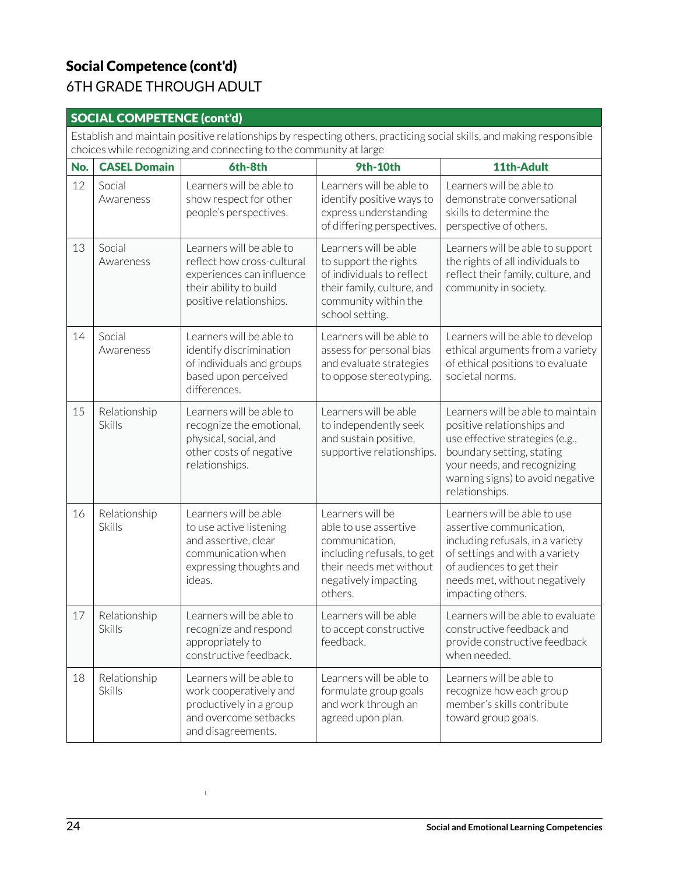### Social Competence (cont'd) 6TH GRADE THROUGH ADULT

#### SOCIAL COMPETENCE (cont'd)

Establish and maintain positive relationships by respecting others, practicing social skills, and making responsible choices while recognizing and connecting to the community at large

| No. | <b>CASEL Domain</b>           | 6th-8th                                                                                                                                  | <b>9th-10th</b>                                                                                                                                         | 11th-Adult                                                                                                                                                                                                           |
|-----|-------------------------------|------------------------------------------------------------------------------------------------------------------------------------------|---------------------------------------------------------------------------------------------------------------------------------------------------------|----------------------------------------------------------------------------------------------------------------------------------------------------------------------------------------------------------------------|
| 12  | Social<br>Awareness           | Learners will be able to<br>show respect for other<br>people's perspectives.                                                             | Learners will be able to<br>identify positive ways to<br>express understanding<br>of differing perspectives.                                            | Learners will be able to<br>demonstrate conversational<br>skills to determine the<br>perspective of others.                                                                                                          |
| 13  | Social<br>Awareness           | Learners will be able to<br>reflect how cross-cultural<br>experiences can influence<br>their ability to build<br>positive relationships. | Learners will be able<br>to support the rights<br>of individuals to reflect<br>their family, culture, and<br>community within the<br>school setting.    | Learners will be able to support<br>the rights of all individuals to<br>reflect their family, culture, and<br>community in society.                                                                                  |
| 14  | Social<br>Awareness           | Learners will be able to<br>identify discrimination<br>of individuals and groups<br>based upon perceived<br>differences.                 | Learners will be able to<br>assess for personal bias<br>and evaluate strategies<br>to oppose stereotyping.                                              | Learners will be able to develop<br>ethical arguments from a variety<br>of ethical positions to evaluate<br>societal norms.                                                                                          |
| 15  | Relationship<br><b>Skills</b> | Learners will be able to<br>recognize the emotional,<br>physical, social, and<br>other costs of negative<br>relationships.               | Learners will be able<br>to independently seek<br>and sustain positive,<br>supportive relationships.                                                    | Learners will be able to maintain<br>positive relationships and<br>use effective strategies (e.g.,<br>boundary setting, stating<br>your needs, and recognizing<br>warning signs) to avoid negative<br>relationships. |
| 16  | Relationship<br><b>Skills</b> | Learners will be able<br>to use active listening<br>and assertive, clear<br>communication when<br>expressing thoughts and<br>ideas.      | Learners will be<br>able to use assertive<br>communication,<br>including refusals, to get<br>their needs met without<br>negatively impacting<br>others. | Learners will be able to use<br>assertive communication,<br>including refusals, in a variety<br>of settings and with a variety<br>of audiences to get their<br>needs met, without negatively<br>impacting others.    |
| 17  | Relationship<br><b>Skills</b> | Learners will be able to<br>recognize and respond<br>appropriately to<br>constructive feedback.                                          | Learners will be able<br>to accept constructive<br>feedback.                                                                                            | Learners will be able to evaluate<br>constructive feedback and<br>provide constructive feedback<br>when needed.                                                                                                      |
| 18  | Relationship<br><b>Skills</b> | Learners will be able to<br>work cooperatively and<br>productively in a group<br>and overcome setbacks<br>and disagreements.             | Learners will be able to<br>formulate group goals<br>and work through an<br>agreed upon plan.                                                           | Learners will be able to<br>recognize how each group<br>member's skills contribute<br>toward group goals.                                                                                                            |

 $\bar{\bar{1}}$